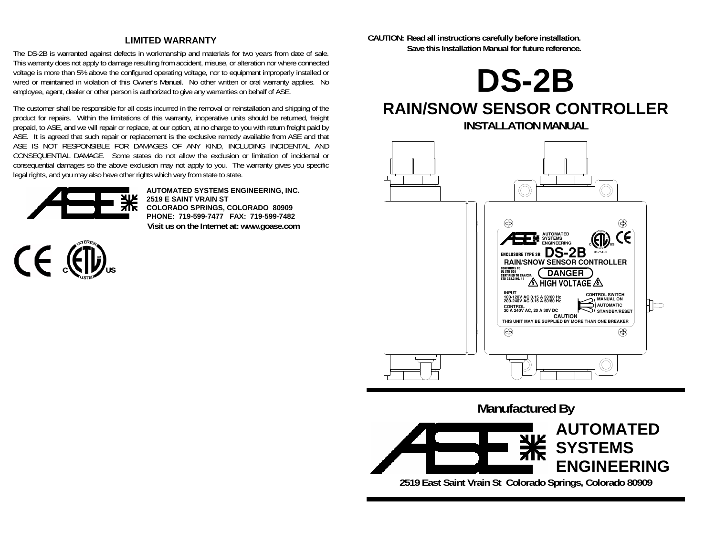#### **LIMITED WARRANTY**

The DS-2B is warranted against defects in workmanship and materials for two years from date of sale. This warranty does not apply to damage resulting from accident, misuse, or alteration nor where connected voltage is more than 5% above the configured operating voltage, nor to equipment improperly installed or wired or maintained in violation of this Owner's Manual. No other written or oral warranty applies. No employee, agent, dealer or other person is authorized to give any warranties on behalf of ASE.

The customer shall be responsible for all costs incurred in the removal or reinstallation and shipping of the product for repairs. Within the limitations of this warranty, inoperative units should be returned, freight prepaid, to ASE, and we will repair or replace, at our option, at no charge to you with return freight paid by ASE. It is agreed that such repair or replacement is the exclusive remedy available from ASE and that ASE IS NOT RESPONSIBLE FOR DAMAGES OF ANY KIND, INCLUDING INCIDENTAL AND CONSEQUENTIAL DAMAGE. Some states do not allow the exclusion or limitation of incidental or consequential damages so the above exclusion may not apply to you. The warranty gives you specific legal rights, and you may also have other rights which vary from state to state.



**AUTOMATED SYSTEMS ENGINEERING, INC. 2519 E SAINT VRAIN ST COLORADO SPRINGS, COLORADO 80909 PHONE: 719-599-7477 FAX: 719-599-7482 Visit us on the Internet at: www.goase.com** 



**CAUTION: Read all instructions carefully before installation. Save this Installation Manual for future reference.** 



# **RAIN/SNOW SENSOR CONTROLLER INSTALLATION MANUAL**



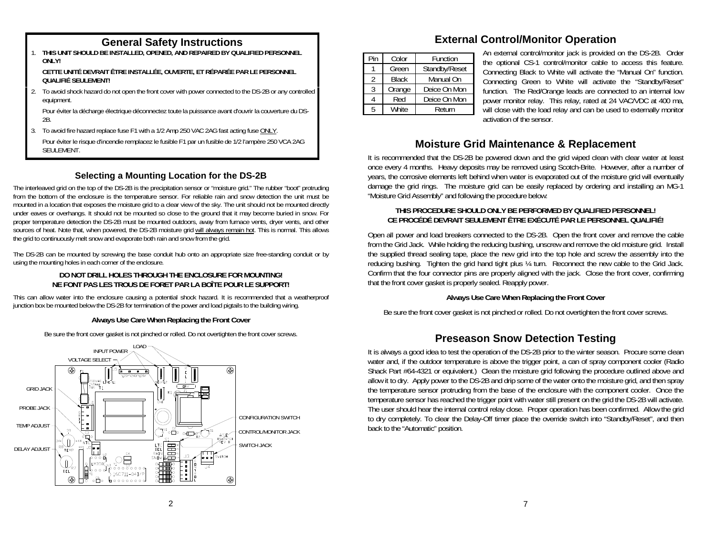1. **THIS UNIT SHOULD BE INSTALLED, OPENED, AND REPAIRED BY QUALIFIED PERSONNEL ONLY!** 

 **CETTE UNITÉ DEVRAIT ÊTRE INSTALLÉE, OUVERTE, ET RÉPARÉE PAR LE PERSONNEL QUALIFIÉ SEULEMENT!** 

2. To avoid shock hazard do not open the front cover with power connected to the DS-2B or any controlled equipment.

 Pour éviter la décharge électrique déconnectez toute la puissance avant d'ouvrir la couverture du DS-2B.

3. To avoid fire hazard replace fuse F1 with a 1/2 Amp 250 VAC 2AG fast acting fuse ONLY.

 Pour éviter le risque d'incendie remplacez le fusible F1 par un fusible de 1/2 l'ampère 250 VCA 2AG SEULEMENT.

## **Selecting a Mounting Location for the DS-2B**

The interleaved grid on the top of the DS-2B is the precipitation sensor or "moisture grid." The rubber "boot" protruding from the bottom of the enclosure is the temperature sensor. For reliable rain and snow detection the unit must be mounted in a location that exposes the moisture grid to a clear view of the sky. The unit should not be mounted directly under eaves or overhangs. It should not be mounted so close to the ground that it may become buried in snow. For proper temperature detection the DS-2B must be mounted outdoors, away from furnace vents, dryer vents, and other sources of heat. Note that, when powered, the DS-2B moisture grid will always remain hot. This is normal. This allows the grid to continuously melt snow and evaporate both rain and snow from the grid.

The DS-2B can be mounted by screwing the base conduit hub onto an appropriate size free-standing conduit or by using the mounting holes in each corner of the enclosure.

#### **DO NOT DRILL HOLES THROUGH THE ENCLOSURE FOR MOUNTING! NE FONT PAS LES TROUS DE FORET PAR LA BOÎTE POUR LE SUPPORT!**

This can allow water into the enclosure causing a potential shock hazard. It is recommended that a weatherproof junction box be mounted below the DS-2B for termination of the power and load pigtails to the building wiring.

#### **Always Use Care When Replacing the Front Cover**

Be sure the front cover gasket is not pinched or rolled. Do not overtighten the front cover screws.



# **General Safety Instructions External Control/Monitor Operation**

| Pin | Color        | Function      |  |  |  |
|-----|--------------|---------------|--|--|--|
|     | Green        | Standby/Reset |  |  |  |
| 2   | <b>Black</b> | Manual On     |  |  |  |
|     | Orange       | Deice On Mon  |  |  |  |
|     | Red          | Deice On Mon  |  |  |  |
| Б,  | <b>White</b> | Return        |  |  |  |

An external control/monitor jack is provided on the DS-2B. Order the optional CS-1 control/monitor cable to access this feature. Connecting Black to White will activate the "Manual On" function. Connecting Green to White will activate the "Standby/Reset" function. The Red/Orange leads are connected to an internal low power monitor relay. This relay, rated at 24 VAC/VDC at 400 ma, will close with the load relay and can be used to externally monitor activation of the sensor.

# **Moisture Grid Maintenance & Replacement**

It is recommended that the DS-2B be powered down and the grid wiped clean with clear water at least once every 4 months. Heavy deposits may be removed using Scotch-Brite. However, after a number of years, the corrosive elements left behind when water is evaporated out of the moisture grid will eventually damage the grid rings. The moisture grid can be easily replaced by ordering and installing an MG-1 "Moisture Grid Assembly" and following the procedure below:

#### **THIS PROCEDURE SHOULD ONLY BE PERFORMED BY QUALIFIED PERSONNEL! CE PROCÉDÉ DEVRAIT SEULEMENT ÊTRE EXÉCUTÉ PAR LE PERSONNEL QUALIFIÉ!**

Open all power and load breakers connected to the DS-2B. Open the front cover and remove the cable from the Grid Jack. While holding the reducing bushing, unscrew and remove the old moisture grid. Install the supplied thread sealing tape, place the new grid into the top hole and screw the assembly into the reducing bushing. Tighten the grid hand tight plus ¼ turn. Reconnect the new cable to the Grid Jack. Confirm that the four connector pins are properly aligned with the jack. Close the front cover, confirming that the front cover gasket is properly sealed. Reapply power.

### **Always Use Care When Replacing the Front Cover**

Be sure the front cover gasket is not pinched or rolled. Do not overtighten the front cover screws.

# **Preseason Snow Detection Testing**

It is always a good idea to test the operation of the DS-2B prior to the winter season. Procure some clean water and, if the outdoor temperature is above the trigger point, a can of spray component cooler (Radio Shack Part #64-4321 or equivalent.) Clean the moisture grid following the procedure outlined above and allow it to dry. Apply power to the DS-2B and drip some of the water onto the moisture grid, and then spray the temperature sensor protruding from the base of the enclosure with the component cooler. Once the temperature sensor has reached the trigger point with water still present on the grid the DS-2B will activate. The user should hear the internal control relay close. Proper operation has been confirmed. Allow the grid to dry completely. To clear the Delay-Off timer place the override switch into "Standby/Reset", and then back to the "Automatic" position.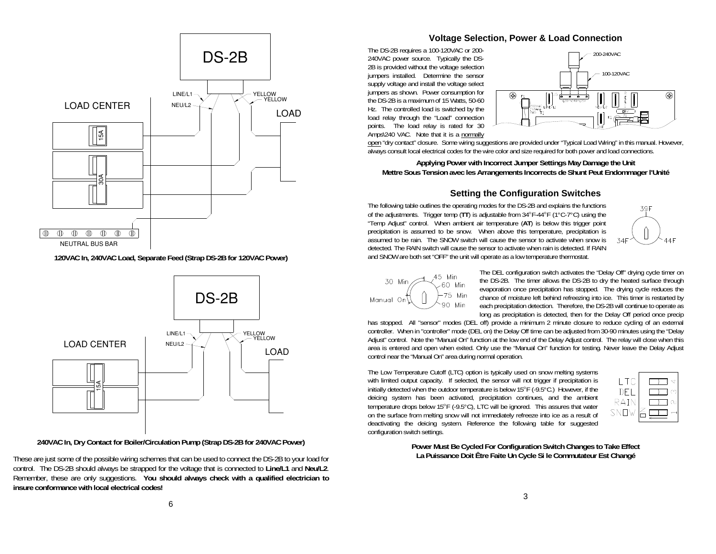

**120VAC In, 240VAC Load, Separate Feed (Strap DS-2B for 120VAC Power)** 



**240VAC In, Dry Contact for Boiler/Circulation Pump (Strap DS-2B for 240VAC Power)** 

These are just some of the possible wiring schemes that can be used to connect the DS-2B to your load for control. The DS-2B should always be strapped for the voltage that is connected to **Line/L1** and **Neu/L2**. Remember, these are only suggestions. **You should always check with a qualified electrician to insure conformance with local electrical codes!**

#### **Voltage Selection, Power & Load Connection**

The DS-2B requires a 100-120VAC or 200- 240VAC power source. Typically the DS-2B is provided without the voltage selection jumpers installed. Determine the sensor supply voltage and install the voltage select jumpers as shown. Power consumption for the DS-2B is a maximum of 15 Watts, 50-60 Hz. The controlled load is switched by the load relay through the "Load" connection points. The load relay is rated for 30 Amps\240 VAC. Note that it is a normally



open "dry contact" closure. Some wiring suggestions are provided under "Typical Load Wiring" in this manual. However, always consult local electrical codes for the wire color and size required for both power and load connections.

#### **Applying Power with Incorrect Jumper Settings May Damage the Unit Mettre Sous Tension avec les Arrangements Incorrects de Shunt Peut Endommager l'Unité**

#### **Setting the Configuration Switches**

The following table outlines the operating modes for the DS-2B and explains the functions of the adjustments. Trigger temp (**TT**) is adjustable from 34°F-44°F (1°C-7°C) using the "Temp Adjust" control. When ambient air temperature (**AT**) is below this trigger point precipitation is assumed to be snow. When above this temperature, precipitation is assumed to be rain. The SNOW switch will cause the sensor to activate when snow is detected. The RAIN switch will cause the sensor to activate when rain is detected. If RAIN and SNOW are both set "OFF" the unit will operate as a low temperature thermostat.





The DEL configuration switch activates the "Delay Off" drying cycle timer on the DS-2B. The timer allows the DS-2B to dry the heated surface through evaporation once precipitation has stopped. The drying cycle reduces the chance of moisture left behind refreezing into ice. This timer is restarted by each precipitation detection. Therefore, the DS-2B will continue to operate as long as precipitation is detected, then for the Delay Off period once precip

has stopped. All "sensor" modes (DEL off) provide a minimum 2 minute closure to reduce cycling of an external controller. When in "controller" mode (DEL on) the Delay Off time can be adjusted from 30-90 minutes using the "Delay Adjust" control. Note the "Manual On" function at the low end of the Delay Adjust control. The relay will close when this area is entered and open when exited. Only use the "Manual On" function for testing. Never leave the Delay Adjust control near the "Manual On" area during normal operation.

The Low Temperature Cutoff (LTC) option is typically used on snow melting systems with limited output capacity. If selected, the sensor will not trigger if precipitation is initially detected when the outdoor temperature is below 15°F (-9.5°C.) However, if the deicing system has been activated, precipitation continues, and the ambient temperature drops below 15°F (-9.5°C), LTC will be ignored. This assures that water on the surface from melting snow will not immediately refreeze into ice as a result of deactivating the deicing system. Reference the following table for suggested configuration switch settings.

| ΙC                 |   |
|--------------------|---|
| DE.                | ∞ |
| RAIN               |   |
| SN<br>$\mathsf{L}$ |   |

**Power Must Be Cycled For Configuration Switch Changes to Take Effect La Puissance Doit Être Faite Un Cycle Si le Commutateur Est Changé**